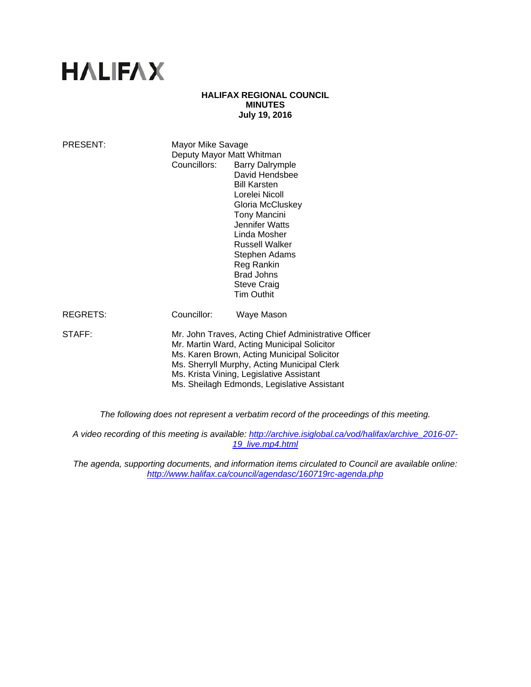# **HALIFAX**

#### **HALIFAX REGIONAL COUNCIL MINUTES July 19, 2016**

| PRESENT:        | Mayor Mike Savage<br>Deputy Mayor Matt Whitman<br>Councillors:                                                                                                                                                                                                                               | <b>Barry Dalrymple</b><br>David Hendsbee<br><b>Bill Karsten</b><br>Lorelei Nicoll<br>Gloria McCluskey<br><b>Tony Mancini</b><br>Jennifer Watts<br>Linda Mosher<br>Russell Walker<br>Stephen Adams<br>Reg Rankin<br><b>Brad Johns</b><br><b>Steve Craig</b><br><b>Tim Outhit</b> |
|-----------------|----------------------------------------------------------------------------------------------------------------------------------------------------------------------------------------------------------------------------------------------------------------------------------------------|---------------------------------------------------------------------------------------------------------------------------------------------------------------------------------------------------------------------------------------------------------------------------------|
| <b>REGRETS:</b> | Councillor:                                                                                                                                                                                                                                                                                  | Waye Mason                                                                                                                                                                                                                                                                      |
| STAFF:          | Mr. John Traves, Acting Chief Administrative Officer<br>Mr. Martin Ward, Acting Municipal Solicitor<br>Ms. Karen Brown, Acting Municipal Solicitor<br>Ms. Sherryll Murphy, Acting Municipal Clerk<br>Ms. Krista Vining, Legislative Assistant<br>Ms. Sheilagh Edmonds, Legislative Assistant |                                                                                                                                                                                                                                                                                 |

*The following does not represent a verbatim record of the proceedings of this meeting.* 

*A video recording of this meeting is available: http://archive.isiglobal.ca/vod/halifax/archive\_2016-07- 19\_live.mp4.html* 

*The agenda, supporting documents, and information items circulated to Council are available online: http://www.halifax.ca/council/agendasc/160719rc-agenda.php*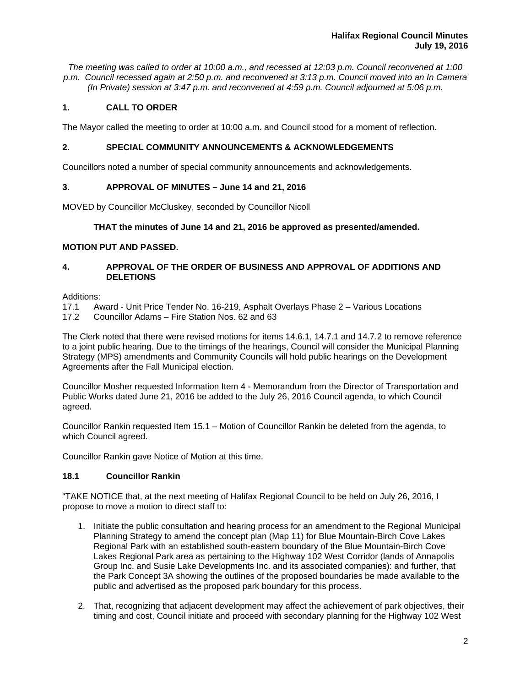*The meeting was called to order at 10:00 a.m., and recessed at 12:03 p.m. Council reconvened at 1:00 p.m. Council recessed again at 2:50 p.m. and reconvened at 3:13 p.m. Council moved into an In Camera (In Private) session at 3:47 p.m. and reconvened at 4:59 p.m. Council adjourned at 5:06 p.m.*

# **1. CALL TO ORDER**

The Mayor called the meeting to order at 10:00 a.m. and Council stood for a moment of reflection.

## **2. SPECIAL COMMUNITY ANNOUNCEMENTS & ACKNOWLEDGEMENTS**

Councillors noted a number of special community announcements and acknowledgements.

# **3. APPROVAL OF MINUTES – June 14 and 21, 2016**

MOVED by Councillor McCluskey, seconded by Councillor Nicoll

## **THAT the minutes of June 14 and 21, 2016 be approved as presented/amended.**

## **MOTION PUT AND PASSED.**

# **4. APPROVAL OF THE ORDER OF BUSINESS AND APPROVAL OF ADDITIONS AND DELETIONS**

Additions:

- 17.1 Award Unit Price Tender No. 16-219, Asphalt Overlays Phase 2 Various Locations
- 17.2 Councillor Adams Fire Station Nos. 62 and 63

The Clerk noted that there were revised motions for items 14.6.1, 14.7.1 and 14.7.2 to remove reference to a joint public hearing. Due to the timings of the hearings, Council will consider the Municipal Planning Strategy (MPS) amendments and Community Councils will hold public hearings on the Development Agreements after the Fall Municipal election.

Councillor Mosher requested Information Item 4 - Memorandum from the Director of Transportation and Public Works dated June 21, 2016 be added to the July 26, 2016 Council agenda, to which Council agreed.

Councillor Rankin requested Item 15.1 – Motion of Councillor Rankin be deleted from the agenda, to which Council agreed.

Councillor Rankin gave Notice of Motion at this time.

# **18.1 Councillor Rankin**

"TAKE NOTICE that, at the next meeting of Halifax Regional Council to be held on July 26, 2016, I propose to move a motion to direct staff to:

- 1. Initiate the public consultation and hearing process for an amendment to the Regional Municipal Planning Strategy to amend the concept plan (Map 11) for Blue Mountain-Birch Cove Lakes Regional Park with an established south-eastern boundary of the Blue Mountain-Birch Cove Lakes Regional Park area as pertaining to the Highway 102 West Corridor (lands of Annapolis Group Inc. and Susie Lake Developments Inc. and its associated companies): and further, that the Park Concept 3A showing the outlines of the proposed boundaries be made available to the public and advertised as the proposed park boundary for this process.
- 2. That, recognizing that adjacent development may affect the achievement of park objectives, their timing and cost, Council initiate and proceed with secondary planning for the Highway 102 West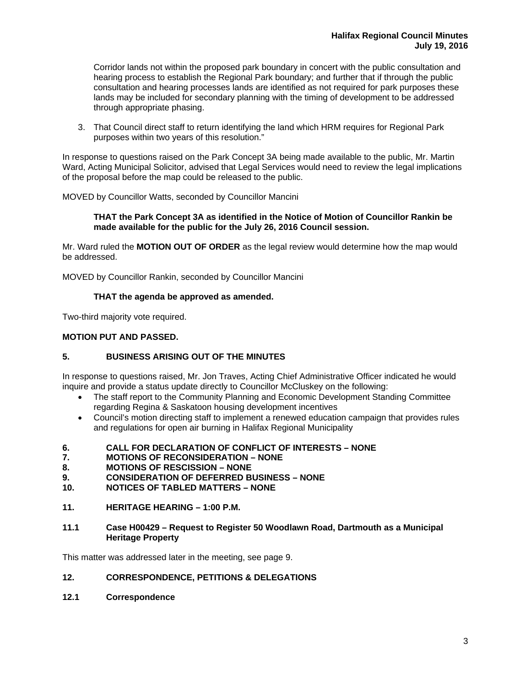Corridor lands not within the proposed park boundary in concert with the public consultation and hearing process to establish the Regional Park boundary; and further that if through the public consultation and hearing processes lands are identified as not required for park purposes these lands may be included for secondary planning with the timing of development to be addressed through appropriate phasing.

3. That Council direct staff to return identifying the land which HRM requires for Regional Park purposes within two years of this resolution."

In response to questions raised on the Park Concept 3A being made available to the public, Mr. Martin Ward, Acting Municipal Solicitor, advised that Legal Services would need to review the legal implications of the proposal before the map could be released to the public.

MOVED by Councillor Watts, seconded by Councillor Mancini

#### **THAT the Park Concept 3A as identified in the Notice of Motion of Councillor Rankin be made available for the public for the July 26, 2016 Council session.**

Mr. Ward ruled the **MOTION OUT OF ORDER** as the legal review would determine how the map would be addressed.

MOVED by Councillor Rankin, seconded by Councillor Mancini

#### **THAT the agenda be approved as amended.**

Two-third majority vote required.

#### **MOTION PUT AND PASSED.**

## **5. BUSINESS ARISING OUT OF THE MINUTES**

In response to questions raised, Mr. Jon Traves, Acting Chief Administrative Officer indicated he would inquire and provide a status update directly to Councillor McCluskey on the following:

- The staff report to the Community Planning and Economic Development Standing Committee regarding Regina & Saskatoon housing development incentives
- Council's motion directing staff to implement a renewed education campaign that provides rules and regulations for open air burning in Halifax Regional Municipality
- **6. CALL FOR DECLARATION OF CONFLICT OF INTERESTS NONE**
- **7. MOTIONS OF RECONSIDERATION NONE**
- **8. MOTIONS OF RESCISSION NONE**
- **9. CONSIDERATION OF DEFERRED BUSINESS NONE**
- **10. NOTICES OF TABLED MATTERS NONE**
- **11. HERITAGE HEARING 1:00 P.M.**
- **11.1 Case H00429 Request to Register 50 Woodlawn Road, Dartmouth as a Municipal Heritage Property**

This matter was addressed later in the meeting, see page 9.

## **12. CORRESPONDENCE, PETITIONS & DELEGATIONS**

**12.1 Correspondence**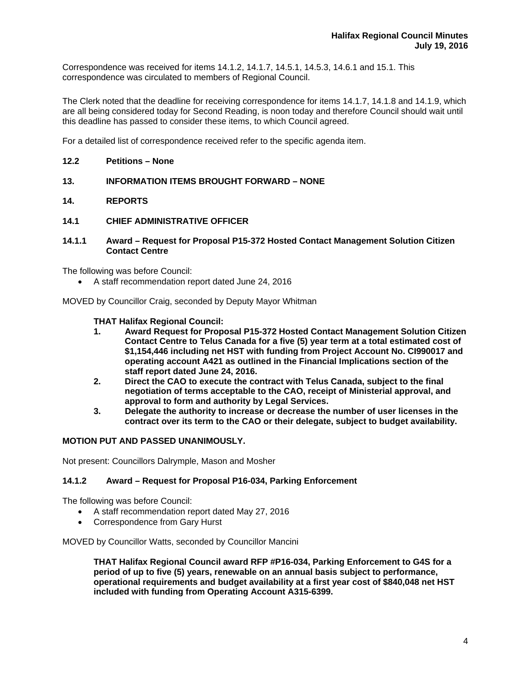Correspondence was received for items 14.1.2, 14.1.7, 14.5.1, 14.5.3, 14.6.1 and 15.1. This correspondence was circulated to members of Regional Council.

The Clerk noted that the deadline for receiving correspondence for items 14.1.7, 14.1.8 and 14.1.9, which are all being considered today for Second Reading, is noon today and therefore Council should wait until this deadline has passed to consider these items, to which Council agreed.

For a detailed list of correspondence received refer to the specific agenda item.

## **12.2 Petitions – None**

- **13. INFORMATION ITEMS BROUGHT FORWARD NONE**
- **14. REPORTS**
- **14.1 CHIEF ADMINISTRATIVE OFFICER**
- **14.1.1 Award Request for Proposal P15-372 Hosted Contact Management Solution Citizen Contact Centre**

The following was before Council:

A staff recommendation report dated June 24, 2016

MOVED by Councillor Craig, seconded by Deputy Mayor Whitman

## **THAT Halifax Regional Council:**

- **1. Award Request for Proposal P15-372 Hosted Contact Management Solution Citizen Contact Centre to Telus Canada for a five (5) year term at a total estimated cost of \$1,154,446 including net HST with funding from Project Account No. CI990017 and operating account A421 as outlined in the Financial Implications section of the staff report dated June 24, 2016.**
- **2. Direct the CAO to execute the contract with Telus Canada, subject to the final negotiation of terms acceptable to the CAO, receipt of Ministerial approval, and approval to form and authority by Legal Services.**
- **3. Delegate the authority to increase or decrease the number of user licenses in the contract over its term to the CAO or their delegate, subject to budget availability.**

# **MOTION PUT AND PASSED UNANIMOUSLY.**

Not present: Councillors Dalrymple, Mason and Mosher

#### **14.1.2 Award – Request for Proposal P16-034, Parking Enforcement**

The following was before Council:

- A staff recommendation report dated May 27, 2016
- Correspondence from Gary Hurst

MOVED by Councillor Watts, seconded by Councillor Mancini

**THAT Halifax Regional Council award RFP #P16-034, Parking Enforcement to G4S for a period of up to five (5) years, renewable on an annual basis subject to performance, operational requirements and budget availability at a first year cost of \$840,048 net HST included with funding from Operating Account A315-6399.**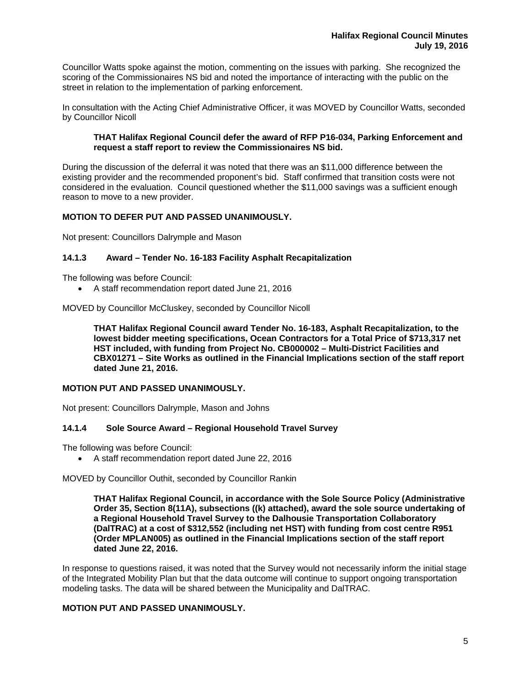Councillor Watts spoke against the motion, commenting on the issues with parking. She recognized the scoring of the Commissionaires NS bid and noted the importance of interacting with the public on the street in relation to the implementation of parking enforcement.

In consultation with the Acting Chief Administrative Officer, it was MOVED by Councillor Watts, seconded by Councillor Nicoll

#### **THAT Halifax Regional Council defer the award of RFP P16-034, Parking Enforcement and request a staff report to review the Commissionaires NS bid.**

During the discussion of the deferral it was noted that there was an \$11,000 difference between the existing provider and the recommended proponent's bid. Staff confirmed that transition costs were not considered in the evaluation. Council questioned whether the \$11,000 savings was a sufficient enough reason to move to a new provider.

# **MOTION TO DEFER PUT AND PASSED UNANIMOUSLY.**

Not present: Councillors Dalrymple and Mason

## **14.1.3 Award – Tender No. 16-183 Facility Asphalt Recapitalization**

The following was before Council:

A staff recommendation report dated June 21, 2016

MOVED by Councillor McCluskey, seconded by Councillor Nicoll

**THAT Halifax Regional Council award Tender No. 16-183, Asphalt Recapitalization, to the lowest bidder meeting specifications, Ocean Contractors for a Total Price of \$713,317 net HST included, with funding from Project No. CB000002 – Multi-District Facilities and CBX01271 – Site Works as outlined in the Financial Implications section of the staff report dated June 21, 2016.** 

#### **MOTION PUT AND PASSED UNANIMOUSLY.**

Not present: Councillors Dalrymple, Mason and Johns

#### **14.1.4 Sole Source Award – Regional Household Travel Survey**

The following was before Council:

A staff recommendation report dated June 22, 2016

MOVED by Councillor Outhit, seconded by Councillor Rankin

**THAT Halifax Regional Council, in accordance with the Sole Source Policy (Administrative Order 35, Section 8(11A), subsections ((k) attached), award the sole source undertaking of a Regional Household Travel Survey to the Dalhousie Transportation Collaboratory (DalTRAC) at a cost of \$312,552 (including net HST) with funding from cost centre R951 (Order MPLAN005) as outlined in the Financial Implications section of the staff report dated June 22, 2016.** 

In response to questions raised, it was noted that the Survey would not necessarily inform the initial stage of the Integrated Mobility Plan but that the data outcome will continue to support ongoing transportation modeling tasks. The data will be shared between the Municipality and DalTRAC.

# **MOTION PUT AND PASSED UNANIMOUSLY.**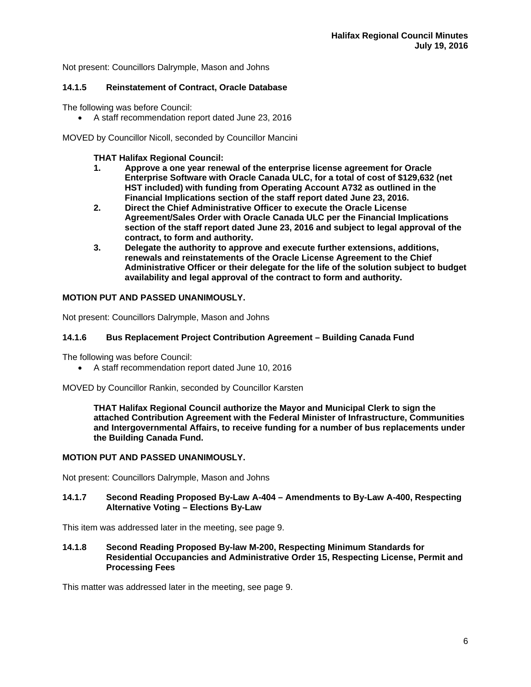Not present: Councillors Dalrymple, Mason and Johns

## **14.1.5 Reinstatement of Contract, Oracle Database**

The following was before Council:

A staff recommendation report dated June 23, 2016

MOVED by Councillor Nicoll, seconded by Councillor Mancini

## **THAT Halifax Regional Council:**

- **1. Approve a one year renewal of the enterprise license agreement for Oracle Enterprise Software with Oracle Canada ULC, for a total of cost of \$129,632 (net HST included) with funding from Operating Account A732 as outlined in the Financial Implications section of the staff report dated June 23, 2016.**
- **2. Direct the Chief Administrative Officer to execute the Oracle License Agreement/Sales Order with Oracle Canada ULC per the Financial Implications section of the staff report dated June 23, 2016 and subject to legal approval of the contract, to form and authority.**
- **3. Delegate the authority to approve and execute further extensions, additions, renewals and reinstatements of the Oracle License Agreement to the Chief Administrative Officer or their delegate for the life of the solution subject to budget availability and legal approval of the contract to form and authority.**

## **MOTION PUT AND PASSED UNANIMOUSLY.**

Not present: Councillors Dalrymple, Mason and Johns

## **14.1.6 Bus Replacement Project Contribution Agreement – Building Canada Fund**

The following was before Council:

A staff recommendation report dated June 10, 2016

MOVED by Councillor Rankin, seconded by Councillor Karsten

**THAT Halifax Regional Council authorize the Mayor and Municipal Clerk to sign the attached Contribution Agreement with the Federal Minister of Infrastructure, Communities and Intergovernmental Affairs, to receive funding for a number of bus replacements under the Building Canada Fund.** 

## **MOTION PUT AND PASSED UNANIMOUSLY.**

Not present: Councillors Dalrymple, Mason and Johns

**14.1.7 Second Reading Proposed By-Law A-404 – Amendments to By-Law A-400, Respecting Alternative Voting – Elections By-Law** 

This item was addressed later in the meeting, see page 9.

**14.1.8 Second Reading Proposed By-law M-200, Respecting Minimum Standards for Residential Occupancies and Administrative Order 15, Respecting License, Permit and Processing Fees** 

This matter was addressed later in the meeting, see page 9.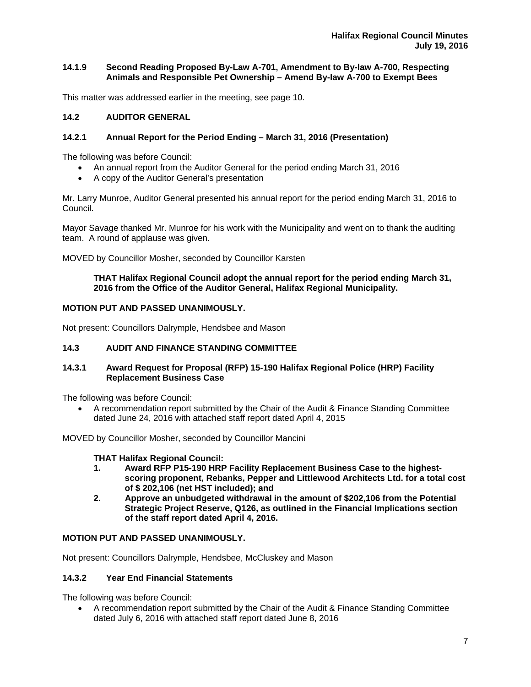## **14.1.9 Second Reading Proposed By-Law A-701, Amendment to By-law A-700, Respecting Animals and Responsible Pet Ownership – Amend By-law A-700 to Exempt Bees**

This matter was addressed earlier in the meeting, see page 10.

# **14.2 AUDITOR GENERAL**

## **14.2.1 Annual Report for the Period Ending – March 31, 2016 (Presentation)**

The following was before Council:

- An annual report from the Auditor General for the period ending March 31, 2016
- A copy of the Auditor General's presentation

Mr. Larry Munroe, Auditor General presented his annual report for the period ending March 31, 2016 to Council.

Mayor Savage thanked Mr. Munroe for his work with the Municipality and went on to thank the auditing team. A round of applause was given.

MOVED by Councillor Mosher, seconded by Councillor Karsten

## **THAT Halifax Regional Council adopt the annual report for the period ending March 31, 2016 from the Office of the Auditor General, Halifax Regional Municipality.**

## **MOTION PUT AND PASSED UNANIMOUSLY.**

Not present: Councillors Dalrymple, Hendsbee and Mason

# **14.3 AUDIT AND FINANCE STANDING COMMITTEE**

## **14.3.1 Award Request for Proposal (RFP) 15-190 Halifax Regional Police (HRP) Facility Replacement Business Case**

The following was before Council:

 A recommendation report submitted by the Chair of the Audit & Finance Standing Committee dated June 24, 2016 with attached staff report dated April 4, 2015

MOVED by Councillor Mosher, seconded by Councillor Mancini

#### **THAT Halifax Regional Council:**

- **1. Award RFP P15-190 HRP Facility Replacement Business Case to the highestscoring proponent, Rebanks, Pepper and Littlewood Architects Ltd. for a total cost of \$ 202,106 (net HST included); and**
- **2. Approve an unbudgeted withdrawal in the amount of \$202,106 from the Potential Strategic Project Reserve, Q126, as outlined in the Financial Implications section of the staff report dated April 4, 2016.**

#### **MOTION PUT AND PASSED UNANIMOUSLY.**

Not present: Councillors Dalrymple, Hendsbee, McCluskey and Mason

## **14.3.2 Year End Financial Statements**

The following was before Council:

 A recommendation report submitted by the Chair of the Audit & Finance Standing Committee dated July 6, 2016 with attached staff report dated June 8, 2016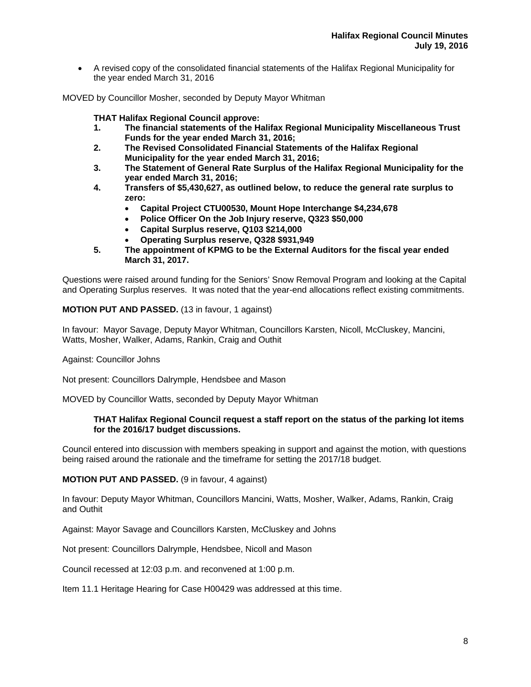A revised copy of the consolidated financial statements of the Halifax Regional Municipality for the year ended March 31, 2016

MOVED by Councillor Mosher, seconded by Deputy Mayor Whitman

**THAT Halifax Regional Council approve:** 

- **1. The financial statements of the Halifax Regional Municipality Miscellaneous Trust Funds for the year ended March 31, 2016;**
- **2. The Revised Consolidated Financial Statements of the Halifax Regional Municipality for the year ended March 31, 2016;**
- **3. The Statement of General Rate Surplus of the Halifax Regional Municipality for the year ended March 31, 2016;**
- **4. Transfers of \$5,430,627, as outlined below, to reduce the general rate surplus to zero:** 
	- **Capital Project CTU00530, Mount Hope Interchange \$4,234,678**
	- **Police Officer On the Job Injury reserve, Q323 \$50,000**
	- **Capital Surplus reserve, Q103 \$214,000**
	- **Operating Surplus reserve, Q328 \$931,949**
- **5. The appointment of KPMG to be the External Auditors for the fiscal year ended March 31, 2017.**

Questions were raised around funding for the Seniors' Snow Removal Program and looking at the Capital and Operating Surplus reserves. It was noted that the year-end allocations reflect existing commitments.

#### **MOTION PUT AND PASSED.** (13 in favour, 1 against)

In favour: Mayor Savage, Deputy Mayor Whitman, Councillors Karsten, Nicoll, McCluskey, Mancini, Watts, Mosher, Walker, Adams, Rankin, Craig and Outhit

Against: Councillor Johns

Not present: Councillors Dalrymple, Hendsbee and Mason

MOVED by Councillor Watts, seconded by Deputy Mayor Whitman

#### **THAT Halifax Regional Council request a staff report on the status of the parking lot items for the 2016/17 budget discussions.**

Council entered into discussion with members speaking in support and against the motion, with questions being raised around the rationale and the timeframe for setting the 2017/18 budget.

**MOTION PUT AND PASSED.** (9 in favour, 4 against)

In favour: Deputy Mayor Whitman, Councillors Mancini, Watts, Mosher, Walker, Adams, Rankin, Craig and Outhit

Against: Mayor Savage and Councillors Karsten, McCluskey and Johns

Not present: Councillors Dalrymple, Hendsbee, Nicoll and Mason

Council recessed at 12:03 p.m. and reconvened at 1:00 p.m.

Item 11.1 Heritage Hearing for Case H00429 was addressed at this time.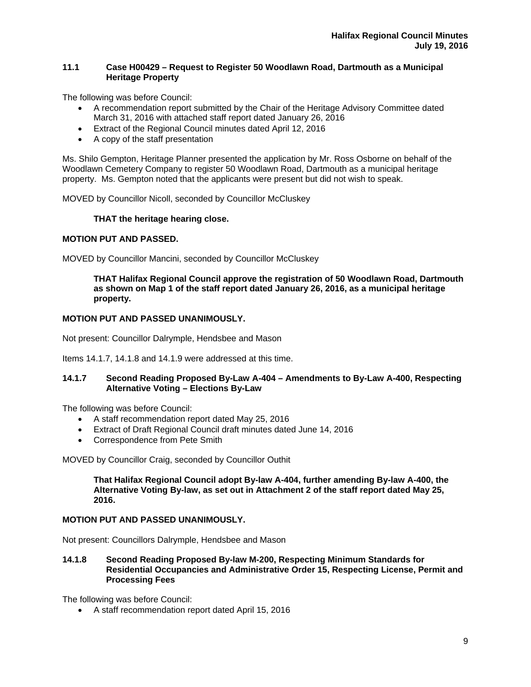## **11.1 Case H00429 – Request to Register 50 Woodlawn Road, Dartmouth as a Municipal Heritage Property**

The following was before Council:

- A recommendation report submitted by the Chair of the Heritage Advisory Committee dated March 31, 2016 with attached staff report dated January 26, 2016
- **Extract of the Regional Council minutes dated April 12, 2016**
- A copy of the staff presentation

Ms. Shilo Gempton, Heritage Planner presented the application by Mr. Ross Osborne on behalf of the Woodlawn Cemetery Company to register 50 Woodlawn Road, Dartmouth as a municipal heritage property. Ms. Gempton noted that the applicants were present but did not wish to speak.

MOVED by Councillor Nicoll, seconded by Councillor McCluskey

## **THAT the heritage hearing close.**

## **MOTION PUT AND PASSED.**

MOVED by Councillor Mancini, seconded by Councillor McCluskey

**THAT Halifax Regional Council approve the registration of 50 Woodlawn Road, Dartmouth as shown on Map 1 of the staff report dated January 26, 2016, as a municipal heritage property.** 

#### **MOTION PUT AND PASSED UNANIMOUSLY.**

Not present: Councillor Dalrymple, Hendsbee and Mason

Items 14.1.7, 14.1.8 and 14.1.9 were addressed at this time.

## **14.1.7 Second Reading Proposed By-Law A-404 – Amendments to By-Law A-400, Respecting Alternative Voting – Elections By-Law**

The following was before Council:

- A staff recommendation report dated May 25, 2016
- Extract of Draft Regional Council draft minutes dated June 14, 2016
- Correspondence from Pete Smith

MOVED by Councillor Craig, seconded by Councillor Outhit

**That Halifax Regional Council adopt By-law A-404, further amending By-law A-400, the Alternative Voting By-law, as set out in Attachment 2 of the staff report dated May 25, 2016.** 

## **MOTION PUT AND PASSED UNANIMOUSLY.**

Not present: Councillors Dalrymple, Hendsbee and Mason

**14.1.8 Second Reading Proposed By-law M-200, Respecting Minimum Standards for Residential Occupancies and Administrative Order 15, Respecting License, Permit and Processing Fees** 

The following was before Council:

A staff recommendation report dated April 15, 2016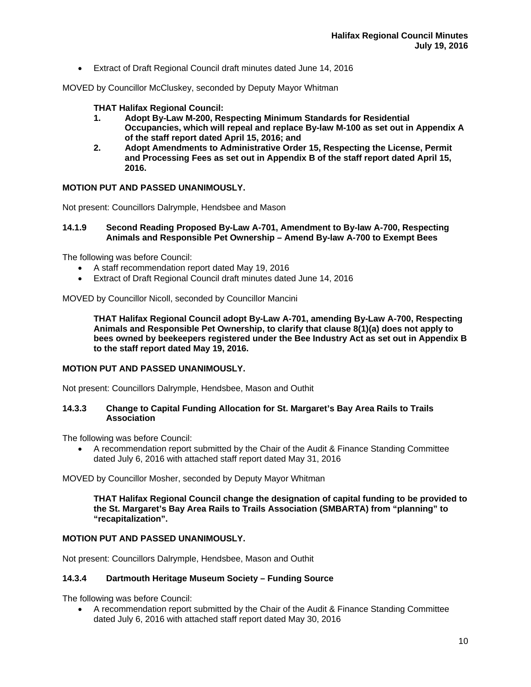Extract of Draft Regional Council draft minutes dated June 14, 2016

MOVED by Councillor McCluskey, seconded by Deputy Mayor Whitman

## **THAT Halifax Regional Council:**

- **1. Adopt By-Law M-200, Respecting Minimum Standards for Residential Occupancies, which will repeal and replace By-law M-100 as set out in Appendix A of the staff report dated April 15, 2016; and**
- **2. Adopt Amendments to Administrative Order 15, Respecting the License, Permit and Processing Fees as set out in Appendix B of the staff report dated April 15, 2016.**

## **MOTION PUT AND PASSED UNANIMOUSLY.**

Not present: Councillors Dalrymple, Hendsbee and Mason

#### **14.1.9 Second Reading Proposed By-Law A-701, Amendment to By-law A-700, Respecting Animals and Responsible Pet Ownership – Amend By-law A-700 to Exempt Bees**

The following was before Council:

- A staff recommendation report dated May 19, 2016
- Extract of Draft Regional Council draft minutes dated June 14, 2016

MOVED by Councillor Nicoll, seconded by Councillor Mancini

**THAT Halifax Regional Council adopt By-Law A-701, amending By-Law A-700, Respecting Animals and Responsible Pet Ownership, to clarify that clause 8(1)(a) does not apply to bees owned by beekeepers registered under the Bee Industry Act as set out in Appendix B to the staff report dated May 19, 2016.** 

#### **MOTION PUT AND PASSED UNANIMOUSLY.**

Not present: Councillors Dalrymple, Hendsbee, Mason and Outhit

#### **14.3.3 Change to Capital Funding Allocation for St. Margaret's Bay Area Rails to Trails Association**

The following was before Council:

 A recommendation report submitted by the Chair of the Audit & Finance Standing Committee dated July 6, 2016 with attached staff report dated May 31, 2016

MOVED by Councillor Mosher, seconded by Deputy Mayor Whitman

**THAT Halifax Regional Council change the designation of capital funding to be provided to the St. Margaret's Bay Area Rails to Trails Association (SMBARTA) from "planning" to "recapitalization".** 

## **MOTION PUT AND PASSED UNANIMOUSLY.**

Not present: Councillors Dalrymple, Hendsbee, Mason and Outhit

#### **14.3.4 Dartmouth Heritage Museum Society – Funding Source**

The following was before Council:

 A recommendation report submitted by the Chair of the Audit & Finance Standing Committee dated July 6, 2016 with attached staff report dated May 30, 2016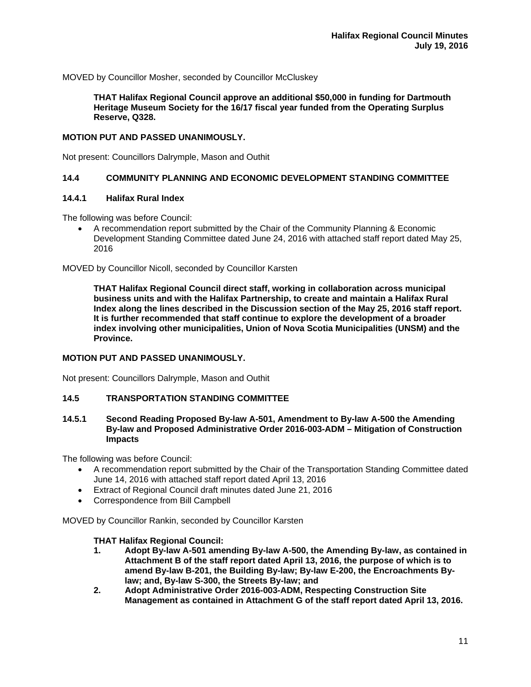MOVED by Councillor Mosher, seconded by Councillor McCluskey

**THAT Halifax Regional Council approve an additional \$50,000 in funding for Dartmouth Heritage Museum Society for the 16/17 fiscal year funded from the Operating Surplus Reserve, Q328.** 

#### **MOTION PUT AND PASSED UNANIMOUSLY.**

Not present: Councillors Dalrymple, Mason and Outhit

#### **14.4 COMMUNITY PLANNING AND ECONOMIC DEVELOPMENT STANDING COMMITTEE**

#### **14.4.1 Halifax Rural Index**

The following was before Council:

 A recommendation report submitted by the Chair of the Community Planning & Economic Development Standing Committee dated June 24, 2016 with attached staff report dated May 25, 2016

MOVED by Councillor Nicoll, seconded by Councillor Karsten

**THAT Halifax Regional Council direct staff, working in collaboration across municipal business units and with the Halifax Partnership, to create and maintain a Halifax Rural Index along the lines described in the Discussion section of the May 25, 2016 staff report. It is further recommended that staff continue to explore the development of a broader index involving other municipalities, Union of Nova Scotia Municipalities (UNSM) and the Province.** 

## **MOTION PUT AND PASSED UNANIMOUSLY.**

Not present: Councillors Dalrymple, Mason and Outhit

#### **14.5 TRANSPORTATION STANDING COMMITTEE**

#### **14.5.1 Second Reading Proposed By-law A-501, Amendment to By-law A-500 the Amending By-law and Proposed Administrative Order 2016-003-ADM – Mitigation of Construction Impacts**

The following was before Council:

- A recommendation report submitted by the Chair of the Transportation Standing Committee dated June 14, 2016 with attached staff report dated April 13, 2016
- Extract of Regional Council draft minutes dated June 21, 2016
- Correspondence from Bill Campbell

MOVED by Councillor Rankin, seconded by Councillor Karsten

#### **THAT Halifax Regional Council:**

- **1. Adopt By-law A-501 amending By-law A-500, the Amending By-law, as contained in Attachment B of the staff report dated April 13, 2016, the purpose of which is to amend By-law B-201, the Building By-law; By-law E-200, the Encroachments Bylaw; and, By-law S-300, the Streets By-law; and**
- **2. Adopt Administrative Order 2016-003-ADM, Respecting Construction Site Management as contained in Attachment G of the staff report dated April 13, 2016.**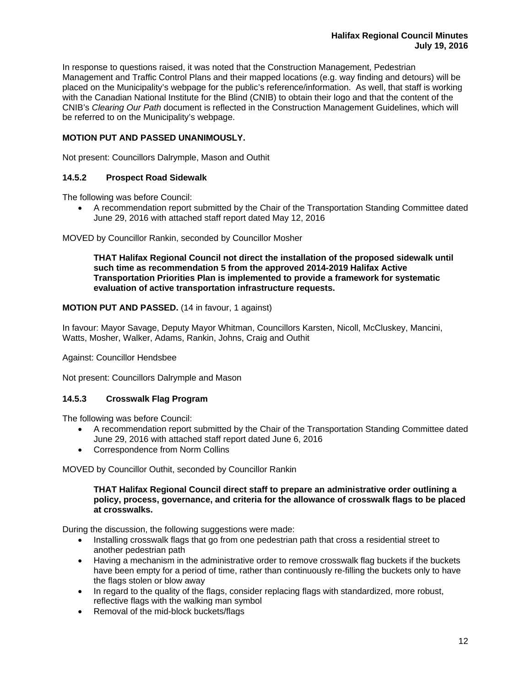In response to questions raised, it was noted that the Construction Management, Pedestrian Management and Traffic Control Plans and their mapped locations (e.g. way finding and detours) will be placed on the Municipality's webpage for the public's reference/information. As well, that staff is working with the Canadian National Institute for the Blind (CNIB) to obtain their logo and that the content of the CNIB's *Clearing Our Path* document is reflected in the Construction Management Guidelines, which will be referred to on the Municipality's webpage.

# **MOTION PUT AND PASSED UNANIMOUSLY.**

Not present: Councillors Dalrymple, Mason and Outhit

# **14.5.2 Prospect Road Sidewalk**

The following was before Council:

 A recommendation report submitted by the Chair of the Transportation Standing Committee dated June 29, 2016 with attached staff report dated May 12, 2016

MOVED by Councillor Rankin, seconded by Councillor Mosher

**THAT Halifax Regional Council not direct the installation of the proposed sidewalk until such time as recommendation 5 from the approved 2014-2019 Halifax Active Transportation Priorities Plan is implemented to provide a framework for systematic evaluation of active transportation infrastructure requests.** 

## **MOTION PUT AND PASSED.** (14 in favour, 1 against)

In favour: Mayor Savage, Deputy Mayor Whitman, Councillors Karsten, Nicoll, McCluskey, Mancini, Watts, Mosher, Walker, Adams, Rankin, Johns, Craig and Outhit

Against: Councillor Hendsbee

Not present: Councillors Dalrymple and Mason

# **14.5.3 Crosswalk Flag Program**

The following was before Council:

- A recommendation report submitted by the Chair of the Transportation Standing Committee dated June 29, 2016 with attached staff report dated June 6, 2016
- Correspondence from Norm Collins

MOVED by Councillor Outhit, seconded by Councillor Rankin

#### **THAT Halifax Regional Council direct staff to prepare an administrative order outlining a policy, process, governance, and criteria for the allowance of crosswalk flags to be placed at crosswalks.**

During the discussion, the following suggestions were made:

- Installing crosswalk flags that go from one pedestrian path that cross a residential street to another pedestrian path
- Having a mechanism in the administrative order to remove crosswalk flag buckets if the buckets have been empty for a period of time, rather than continuously re-filling the buckets only to have the flags stolen or blow away
- In regard to the quality of the flags, consider replacing flags with standardized, more robust, reflective flags with the walking man symbol
- Removal of the mid-block buckets/flags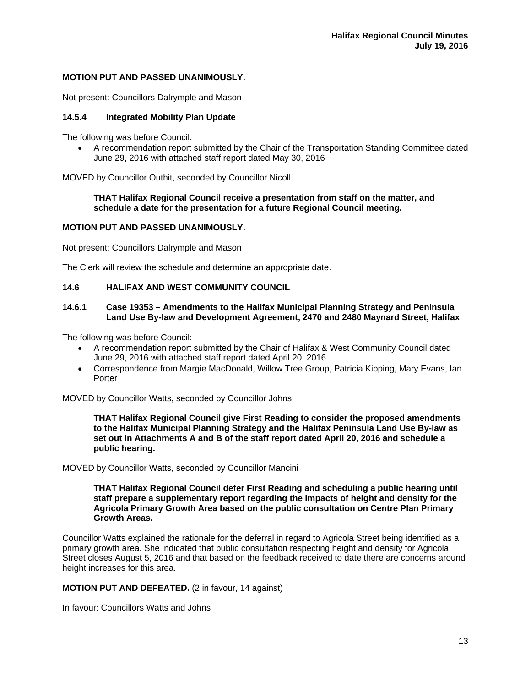## **MOTION PUT AND PASSED UNANIMOUSLY.**

Not present: Councillors Dalrymple and Mason

#### **14.5.4 Integrated Mobility Plan Update**

The following was before Council:

 A recommendation report submitted by the Chair of the Transportation Standing Committee dated June 29, 2016 with attached staff report dated May 30, 2016

MOVED by Councillor Outhit, seconded by Councillor Nicoll

#### **THAT Halifax Regional Council receive a presentation from staff on the matter, and schedule a date for the presentation for a future Regional Council meeting.**

#### **MOTION PUT AND PASSED UNANIMOUSLY.**

Not present: Councillors Dalrymple and Mason

The Clerk will review the schedule and determine an appropriate date.

## **14.6 HALIFAX AND WEST COMMUNITY COUNCIL**

#### **14.6.1 Case 19353 – Amendments to the Halifax Municipal Planning Strategy and Peninsula Land Use By-law and Development Agreement, 2470 and 2480 Maynard Street, Halifax**

The following was before Council:

- A recommendation report submitted by the Chair of Halifax & West Community Council dated June 29, 2016 with attached staff report dated April 20, 2016
- Correspondence from Margie MacDonald, Willow Tree Group, Patricia Kipping, Mary Evans, Ian Porter

MOVED by Councillor Watts, seconded by Councillor Johns

**THAT Halifax Regional Council give First Reading to consider the proposed amendments to the Halifax Municipal Planning Strategy and the Halifax Peninsula Land Use By-law as set out in Attachments A and B of the staff report dated April 20, 2016 and schedule a public hearing.** 

#### MOVED by Councillor Watts, seconded by Councillor Mancini

**THAT Halifax Regional Council defer First Reading and scheduling a public hearing until staff prepare a supplementary report regarding the impacts of height and density for the Agricola Primary Growth Area based on the public consultation on Centre Plan Primary Growth Areas.** 

Councillor Watts explained the rationale for the deferral in regard to Agricola Street being identified as a primary growth area. She indicated that public consultation respecting height and density for Agricola Street closes August 5, 2016 and that based on the feedback received to date there are concerns around height increases for this area.

**MOTION PUT AND DEFEATED.** (2 in favour, 14 against)

In favour: Councillors Watts and Johns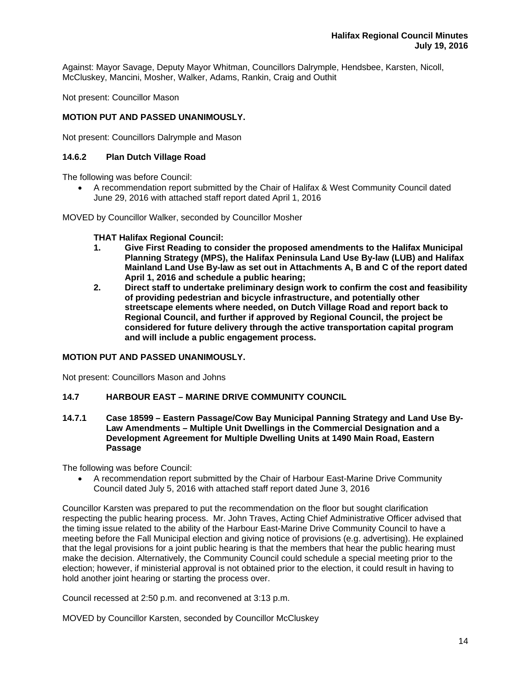Against: Mayor Savage, Deputy Mayor Whitman, Councillors Dalrymple, Hendsbee, Karsten, Nicoll, McCluskey, Mancini, Mosher, Walker, Adams, Rankin, Craig and Outhit

Not present: Councillor Mason

## **MOTION PUT AND PASSED UNANIMOUSLY.**

Not present: Councillors Dalrymple and Mason

## **14.6.2 Plan Dutch Village Road**

The following was before Council:

 A recommendation report submitted by the Chair of Halifax & West Community Council dated June 29, 2016 with attached staff report dated April 1, 2016

MOVED by Councillor Walker, seconded by Councillor Mosher

#### **THAT Halifax Regional Council:**

- **1. Give First Reading to consider the proposed amendments to the Halifax Municipal Planning Strategy (MPS), the Halifax Peninsula Land Use By-law (LUB) and Halifax Mainland Land Use By-law as set out in Attachments A, B and C of the report dated April 1, 2016 and schedule a public hearing;**
- **2. Direct staff to undertake preliminary design work to confirm the cost and feasibility of providing pedestrian and bicycle infrastructure, and potentially other streetscape elements where needed, on Dutch Village Road and report back to Regional Council, and further if approved by Regional Council, the project be considered for future delivery through the active transportation capital program and will include a public engagement process.**

#### **MOTION PUT AND PASSED UNANIMOUSLY.**

Not present: Councillors Mason and Johns

## **14.7 HARBOUR EAST – MARINE DRIVE COMMUNITY COUNCIL**

**14.7.1 Case 18599 – Eastern Passage/Cow Bay Municipal Panning Strategy and Land Use By-Law Amendments – Multiple Unit Dwellings in the Commercial Designation and a Development Agreement for Multiple Dwelling Units at 1490 Main Road, Eastern Passage** 

The following was before Council:

 A recommendation report submitted by the Chair of Harbour East-Marine Drive Community Council dated July 5, 2016 with attached staff report dated June 3, 2016

Councillor Karsten was prepared to put the recommendation on the floor but sought clarification respecting the public hearing process. Mr. John Traves, Acting Chief Administrative Officer advised that the timing issue related to the ability of the Harbour East-Marine Drive Community Council to have a meeting before the Fall Municipal election and giving notice of provisions (e.g. advertising). He explained that the legal provisions for a joint public hearing is that the members that hear the public hearing must make the decision. Alternatively, the Community Council could schedule a special meeting prior to the election; however, if ministerial approval is not obtained prior to the election, it could result in having to hold another joint hearing or starting the process over.

Council recessed at 2:50 p.m. and reconvened at 3:13 p.m.

MOVED by Councillor Karsten, seconded by Councillor McCluskey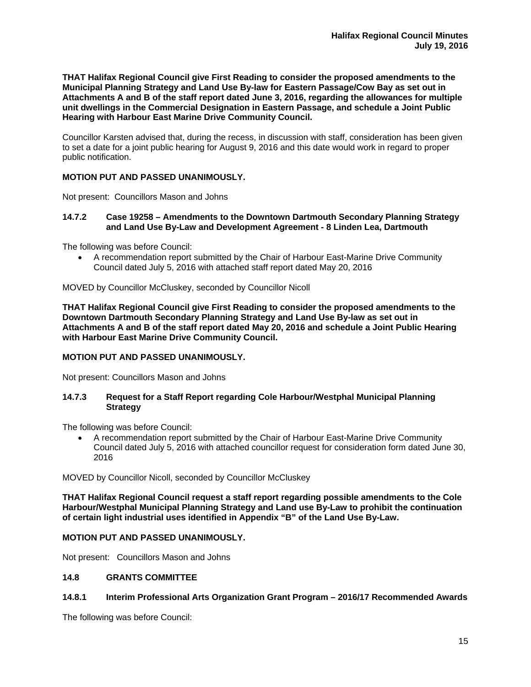**THAT Halifax Regional Council give First Reading to consider the proposed amendments to the Municipal Planning Strategy and Land Use By-law for Eastern Passage/Cow Bay as set out in Attachments A and B of the staff report dated June 3, 2016, regarding the allowances for multiple unit dwellings in the Commercial Designation in Eastern Passage, and schedule a Joint Public Hearing with Harbour East Marine Drive Community Council.** 

Councillor Karsten advised that, during the recess, in discussion with staff, consideration has been given to set a date for a joint public hearing for August 9, 2016 and this date would work in regard to proper public notification.

## **MOTION PUT AND PASSED UNANIMOUSLY.**

Not present: Councillors Mason and Johns

**14.7.2 Case 19258 – Amendments to the Downtown Dartmouth Secondary Planning Strategy and Land Use By-Law and Development Agreement - 8 Linden Lea, Dartmouth** 

The following was before Council:

 A recommendation report submitted by the Chair of Harbour East-Marine Drive Community Council dated July 5, 2016 with attached staff report dated May 20, 2016

MOVED by Councillor McCluskey, seconded by Councillor Nicoll

**THAT Halifax Regional Council give First Reading to consider the proposed amendments to the Downtown Dartmouth Secondary Planning Strategy and Land Use By-law as set out in Attachments A and B of the staff report dated May 20, 2016 and schedule a Joint Public Hearing with Harbour East Marine Drive Community Council.** 

# **MOTION PUT AND PASSED UNANIMOUSLY.**

Not present: Councillors Mason and Johns

## **14.7.3 Request for a Staff Report regarding Cole Harbour/Westphal Municipal Planning Strategy**

The following was before Council:

 A recommendation report submitted by the Chair of Harbour East-Marine Drive Community Council dated July 5, 2016 with attached councillor request for consideration form dated June 30, 2016

MOVED by Councillor Nicoll, seconded by Councillor McCluskey

**THAT Halifax Regional Council request a staff report regarding possible amendments to the Cole Harbour/Westphal Municipal Planning Strategy and Land use By-Law to prohibit the continuation of certain light industrial uses identified in Appendix "B" of the Land Use By-Law.** 

#### **MOTION PUT AND PASSED UNANIMOUSLY.**

Not present: Councillors Mason and Johns

## **14.8 GRANTS COMMITTEE**

#### **14.8.1 Interim Professional Arts Organization Grant Program – 2016/17 Recommended Awards**

The following was before Council: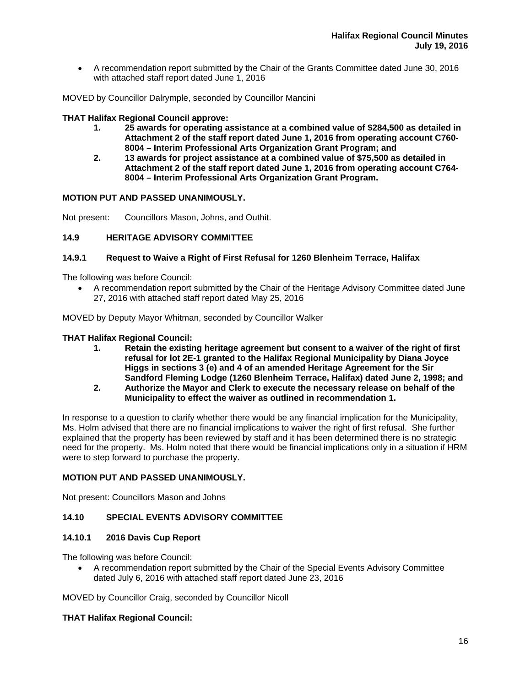A recommendation report submitted by the Chair of the Grants Committee dated June 30, 2016 with attached staff report dated June 1, 2016

MOVED by Councillor Dalrymple, seconded by Councillor Mancini

## **THAT Halifax Regional Council approve:**

- **1. 25 awards for operating assistance at a combined value of \$284,500 as detailed in Attachment 2 of the staff report dated June 1, 2016 from operating account C760- 8004 – Interim Professional Arts Organization Grant Program; and**
- **2. 13 awards for project assistance at a combined value of \$75,500 as detailed in Attachment 2 of the staff report dated June 1, 2016 from operating account C764- 8004 – Interim Professional Arts Organization Grant Program.**

## **MOTION PUT AND PASSED UNANIMOUSLY.**

Not present: Councillors Mason, Johns, and Outhit.

## **14.9 HERITAGE ADVISORY COMMITTEE**

## **14.9.1 Request to Waive a Right of First Refusal for 1260 Blenheim Terrace, Halifax**

The following was before Council:

 A recommendation report submitted by the Chair of the Heritage Advisory Committee dated June 27, 2016 with attached staff report dated May 25, 2016

MOVED by Deputy Mayor Whitman, seconded by Councillor Walker

#### **THAT Halifax Regional Council:**

- **1. Retain the existing heritage agreement but consent to a waiver of the right of first refusal for lot 2E-1 granted to the Halifax Regional Municipality by Diana Joyce Higgs in sections 3 (e) and 4 of an amended Heritage Agreement for the Sir Sandford Fleming Lodge (1260 Blenheim Terrace, Halifax) dated June 2, 1998; and**
- **2. Authorize the Mayor and Clerk to execute the necessary release on behalf of the Municipality to effect the waiver as outlined in recommendation 1.**

In response to a question to clarify whether there would be any financial implication for the Municipality, Ms. Holm advised that there are no financial implications to waiver the right of first refusal. She further explained that the property has been reviewed by staff and it has been determined there is no strategic need for the property. Ms. Holm noted that there would be financial implications only in a situation if HRM were to step forward to purchase the property.

#### **MOTION PUT AND PASSED UNANIMOUSLY.**

Not present: Councillors Mason and Johns

# **14.10 SPECIAL EVENTS ADVISORY COMMITTEE**

#### **14.10.1 2016 Davis Cup Report**

The following was before Council:

 A recommendation report submitted by the Chair of the Special Events Advisory Committee dated July 6, 2016 with attached staff report dated June 23, 2016

MOVED by Councillor Craig, seconded by Councillor Nicoll

#### **THAT Halifax Regional Council:**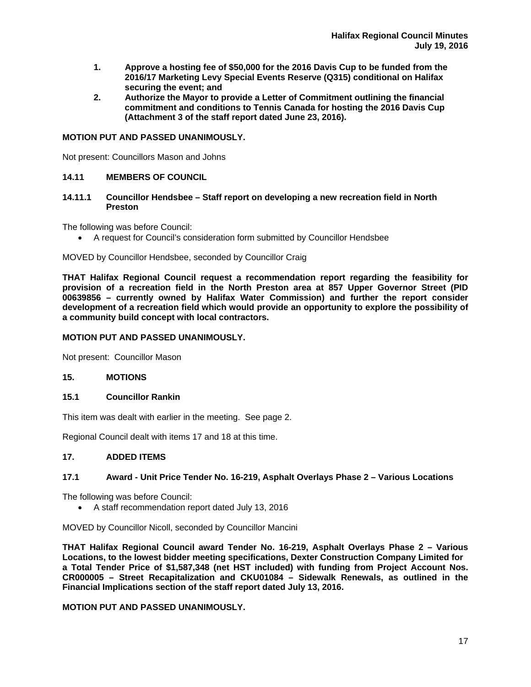- **1. Approve a hosting fee of \$50,000 for the 2016 Davis Cup to be funded from the 2016/17 Marketing Levy Special Events Reserve (Q315) conditional on Halifax securing the event; and**
- **2. Authorize the Mayor to provide a Letter of Commitment outlining the financial commitment and conditions to Tennis Canada for hosting the 2016 Davis Cup (Attachment 3 of the staff report dated June 23, 2016).**

## **MOTION PUT AND PASSED UNANIMOUSLY.**

Not present: Councillors Mason and Johns

## **14.11 MEMBERS OF COUNCIL**

## **14.11.1 Councillor Hendsbee – Staff report on developing a new recreation field in North Preston**

The following was before Council:

A request for Council's consideration form submitted by Councillor Hendsbee

#### MOVED by Councillor Hendsbee, seconded by Councillor Craig

**THAT Halifax Regional Council request a recommendation report regarding the feasibility for provision of a recreation field in the North Preston area at 857 Upper Governor Street (PID 00639856 – currently owned by Halifax Water Commission) and further the report consider development of a recreation field which would provide an opportunity to explore the possibility of a community build concept with local contractors.** 

## **MOTION PUT AND PASSED UNANIMOUSLY.**

Not present: Councillor Mason

## **15. MOTIONS**

## **15.1 Councillor Rankin**

This item was dealt with earlier in the meeting. See page 2.

Regional Council dealt with items 17 and 18 at this time.

#### **17. ADDED ITEMS**

# **17.1 Award - Unit Price Tender No. 16-219, Asphalt Overlays Phase 2 – Various Locations**

The following was before Council:

A staff recommendation report dated July 13, 2016

MOVED by Councillor Nicoll, seconded by Councillor Mancini

**THAT Halifax Regional Council award Tender No. 16-219, Asphalt Overlays Phase 2 – Various Locations, to the lowest bidder meeting specifications, Dexter Construction Company Limited for a Total Tender Price of \$1,587,348 (net HST included) with funding from Project Account Nos. CR000005 – Street Recapitalization and CKU01084 – Sidewalk Renewals, as outlined in the Financial Implications section of the staff report dated July 13, 2016.** 

# **MOTION PUT AND PASSED UNANIMOUSLY.**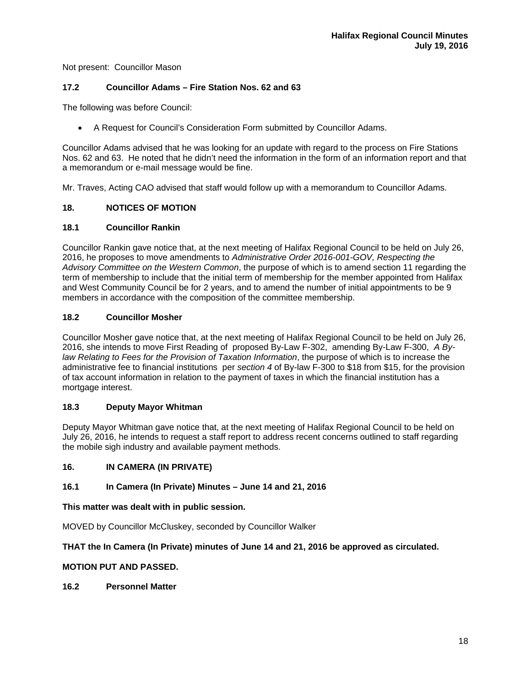Not present: Councillor Mason

## **17.2 Councillor Adams – Fire Station Nos. 62 and 63**

The following was before Council:

A Request for Council's Consideration Form submitted by Councillor Adams.

Councillor Adams advised that he was looking for an update with regard to the process on Fire Stations Nos. 62 and 63. He noted that he didn't need the information in the form of an information report and that a memorandum or e-mail message would be fine.

Mr. Traves, Acting CAO advised that staff would follow up with a memorandum to Councillor Adams.

## **18. NOTICES OF MOTION**

## **18.1 Councillor Rankin**

Councillor Rankin gave notice that, at the next meeting of Halifax Regional Council to be held on July 26, 2016, he proposes to move amendments to *Administrative Order 2016-001-GOV, Respecting the Advisory Committee on the Western Common*, the purpose of which is to amend section 11 regarding the term of membership to include that the initial term of membership for the member appointed from Halifax and West Community Council be for 2 years, and to amend the number of initial appointments to be 9 members in accordance with the composition of the committee membership.

## **18.2 Councillor Mosher**

Councillor Mosher gave notice that, at the next meeting of Halifax Regional Council to be held on July 26, 2016, she intends to move First Reading of proposed By-Law F-302, amending By-Law F-300, *A Bylaw Relating to Fees for the Provision of Taxation Information*, the purpose of which is to increase the administrative fee to financial institutions per *section 4* of By-law F-300 to \$18 from \$15, for the provision of tax account information in relation to the payment of taxes in which the financial institution has a mortgage interest.

#### **18.3 Deputy Mayor Whitman**

Deputy Mayor Whitman gave notice that, at the next meeting of Halifax Regional Council to be held on July 26, 2016, he intends to request a staff report to address recent concerns outlined to staff regarding the mobile sigh industry and available payment methods.

## **16. IN CAMERA (IN PRIVATE)**

#### **16.1 In Camera (In Private) Minutes – June 14 and 21, 2016**

**This matter was dealt with in public session.** 

MOVED by Councillor McCluskey, seconded by Councillor Walker

# **THAT the In Camera (In Private) minutes of June 14 and 21, 2016 be approved as circulated.**

# **MOTION PUT AND PASSED.**

**16.2 Personnel Matter**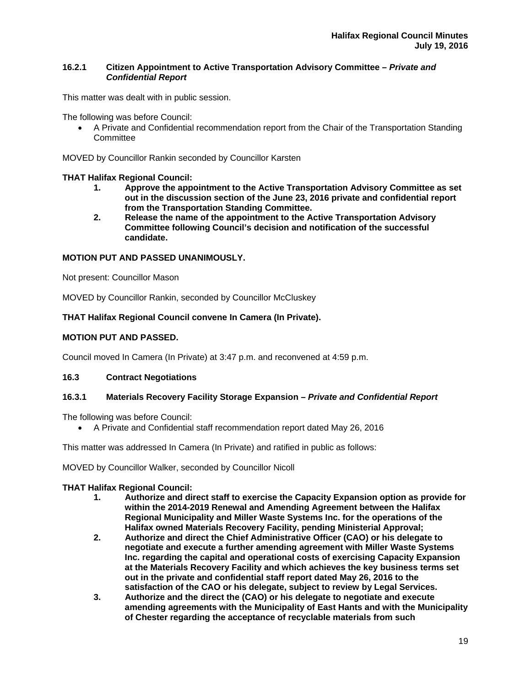## **16.2.1****Citizen Appointment to Active Transportation Advisory Committee** *– Private and Confidential Report*

This matter was dealt with in public session.

The following was before Council:

 A Private and Confidential recommendation report from the Chair of the Transportation Standing **Committee** 

MOVED by Councillor Rankin seconded by Councillor Karsten

## **THAT Halifax Regional Council:**

- **1. Approve the appointment to the Active Transportation Advisory Committee as set out in the discussion section of the June 23, 2016 private and confidential report from the Transportation Standing Committee.**
- **2. Release the name of the appointment to the Active Transportation Advisory Committee following Council's decision and notification of the successful candidate.**

# **MOTION PUT AND PASSED UNANIMOUSLY.**

Not present: Councillor Mason

MOVED by Councillor Rankin, seconded by Councillor McCluskey

# **THAT Halifax Regional Council convene In Camera (In Private).**

# **MOTION PUT AND PASSED.**

Council moved In Camera (In Private) at 3:47 p.m. and reconvened at 4:59 p.m.

#### **16.3 Contract Negotiations**

## **16.3.1 Materials Recovery Facility Storage Expansion –** *Private and Confidential Report*

The following was before Council:

A Private and Confidential staff recommendation report dated May 26, 2016

This matter was addressed In Camera (In Private) and ratified in public as follows:

MOVED by Councillor Walker, seconded by Councillor Nicoll

#### **THAT Halifax Regional Council:**

- **1. Authorize and direct staff to exercise the Capacity Expansion option as provide for within the 2014-2019 Renewal and Amending Agreement between the Halifax Regional Municipality and Miller Waste Systems Inc. for the operations of the Halifax owned Materials Recovery Facility, pending Ministerial Approval;**
- **2. Authorize and direct the Chief Administrative Officer (CAO) or his delegate to negotiate and execute a further amending agreement with Miller Waste Systems Inc. regarding the capital and operational costs of exercising Capacity Expansion at the Materials Recovery Facility and which achieves the key business terms set out in the private and confidential staff report dated May 26, 2016 to the satisfaction of the CAO or his delegate, subject to review by Legal Services.**
- **3. Authorize and the direct the (CAO) or his delegate to negotiate and execute amending agreements with the Municipality of East Hants and with the Municipality of Chester regarding the acceptance of recyclable materials from such**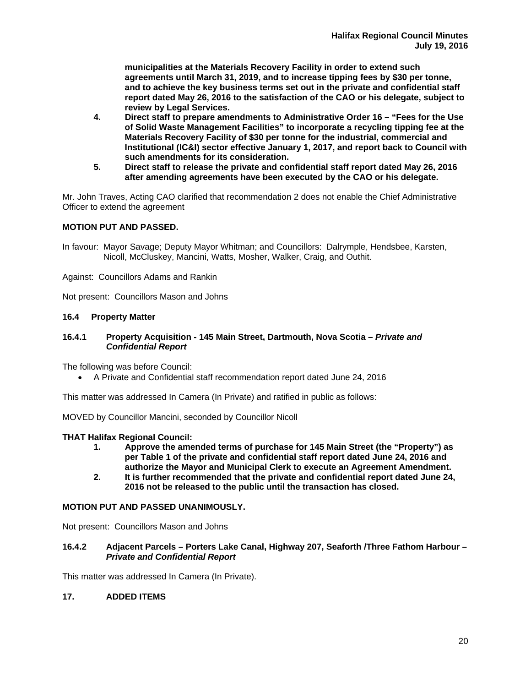**municipalities at the Materials Recovery Facility in order to extend such agreements until March 31, 2019, and to increase tipping fees by \$30 per tonne, and to achieve the key business terms set out in the private and confidential staff report dated May 26, 2016 to the satisfaction of the CAO or his delegate, subject to review by Legal Services.** 

- **4. Direct staff to prepare amendments to Administrative Order 16 "Fees for the Use of Solid Waste Management Facilities" to incorporate a recycling tipping fee at the Materials Recovery Facility of \$30 per tonne for the industrial, commercial and Institutional (IC&I) sector effective January 1, 2017, and report back to Council with such amendments for its consideration.**
- **5. Direct staff to release the private and confidential staff report dated May 26, 2016 after amending agreements have been executed by the CAO or his delegate.**

Mr. John Traves, Acting CAO clarified that recommendation 2 does not enable the Chief Administrative Officer to extend the agreement

## **MOTION PUT AND PASSED.**

In favour: Mayor Savage; Deputy Mayor Whitman; and Councillors: Dalrymple, Hendsbee, Karsten, Nicoll, McCluskey, Mancini, Watts, Mosher, Walker, Craig, and Outhit.

Against: Councillors Adams and Rankin

Not present: Councillors Mason and Johns

#### **16.4 Property Matter**

#### **16.4.1 Property Acquisition - 145 Main Street, Dartmouth, Nova Scotia –** *Private and Confidential Report*

The following was before Council:

A Private and Confidential staff recommendation report dated June 24, 2016

This matter was addressed In Camera (In Private) and ratified in public as follows:

MOVED by Councillor Mancini, seconded by Councillor Nicoll

#### **THAT Halifax Regional Council:**

- **1. Approve the amended terms of purchase for 145 Main Street (the "Property") as per Table 1 of the private and confidential staff report dated June 24, 2016 and authorize the Mayor and Municipal Clerk to execute an Agreement Amendment.**
- **2. It is further recommended that the private and confidential report dated June 24, 2016 not be released to the public until the transaction has closed.**

#### **MOTION PUT AND PASSED UNANIMOUSLY.**

Not present: Councillors Mason and Johns

#### **16.4.2 Adjacent Parcels – Porters Lake Canal, Highway 207, Seaforth /Three Fathom Harbour –**  *Private and Confidential Report*

This matter was addressed In Camera (In Private).

#### **17. ADDED ITEMS**